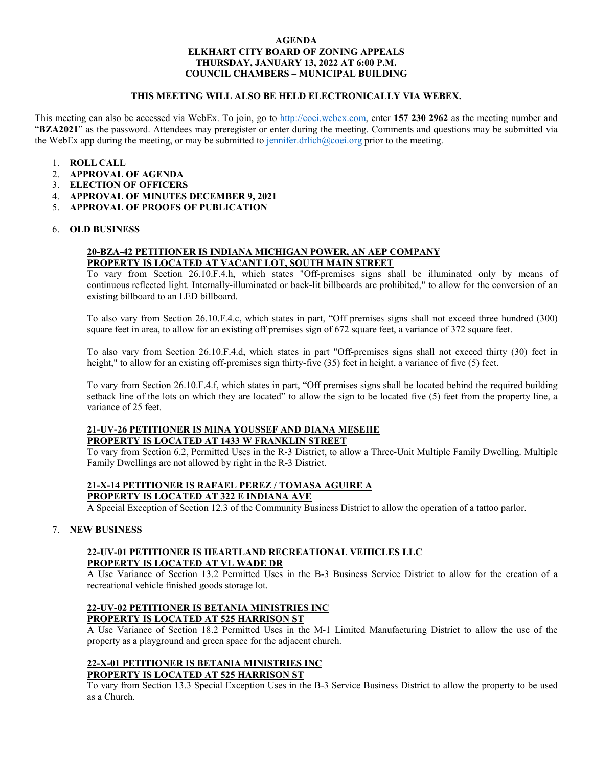#### **AGENDA ELKHART CITY BOARD OF ZONING APPEALS THURSDAY, JANUARY 13, 2022 AT 6:00 P.M. COUNCIL CHAMBERS – MUNICIPAL BUILDING**

### **THIS MEETING WILL ALSO BE HELD ELECTRONICALLY VIA WEBEX.**

This meeting can also be accessed via WebEx. To join, go to [http://coei.webex.com,](http://coei.webex.com/) enter **157 230 2962** as the meeting number and "**BZA2021**" as the password. Attendees may preregister or enter during the meeting. Comments and questions may be submitted via the WebEx app during the meeting, or may be submitted to [jennifer.drlich@coei.org](mailto:jennifer.drlich@coei.org) prior to the meeting.

- 1. **ROLL CALL**
- 2. **APPROVAL OF AGENDA**
- 3. **ELECTION OF OFFICERS**
- 4. **APPROVAL OF MINUTES DECEMBER 9, 2021**
- 5. **APPROVAL OF PROOFS OF PUBLICATION**

#### 6. **OLD BUSINESS**

### **20-BZA-42 PETITIONER IS INDIANA MICHIGAN POWER, AN AEP COMPANY PROPERTY IS LOCATED AT VACANT LOT, SOUTH MAIN STREET**

To vary from Section 26.10.F.4.h, which states "Off-premises signs shall be illuminated only by means of continuous reflected light. Internally-illuminated or back-lit billboards are prohibited," to allow for the conversion of an existing billboard to an LED billboard.

To also vary from Section 26.10.F.4.c, which states in part, "Off premises signs shall not exceed three hundred (300) square feet in area, to allow for an existing off premises sign of 672 square feet, a variance of 372 square feet.

To also vary from Section 26.10.F.4.d, which states in part "Off-premises signs shall not exceed thirty (30) feet in height," to allow for an existing off-premises sign thirty-five  $(35)$  feet in height, a variance of five  $(5)$  feet.

To vary from Section 26.10.F.4.f, which states in part, "Off premises signs shall be located behind the required building setback line of the lots on which they are located" to allow the sign to be located five (5) feet from the property line, a variance of 25 feet.

## **21-UV-26 PETITIONER IS MINA YOUSSEF AND DIANA MESEHE PROPERTY IS LOCATED AT 1433 W FRANKLIN STREET**

To vary from Section 6.2, Permitted Uses in the R-3 District, to allow a Three-Unit Multiple Family Dwelling. Multiple Family Dwellings are not allowed by right in the R-3 District.

# **21-X-14 PETITIONER IS RAFAEL PEREZ / TOMASA AGUIRE A**

**PROPERTY IS LOCATED AT 322 E INDIANA AVE**

A Special Exception of Section 12.3 of the Community Business District to allow the operation of a tattoo parlor.

## 7. **NEW BUSINESS**

## **22-UV-01 PETITIONER IS HEARTLAND RECREATIONAL VEHICLES LLC PROPERTY IS LOCATED AT VL WADE DR**

A Use Variance of Section 13.2 Permitted Uses in the B-3 Business Service District to allow for the creation of a recreational vehicle finished goods storage lot.

## **22-UV-02 PETITIONER IS BETANIA MINISTRIES INC PROPERTY IS LOCATED AT 525 HARRISON ST**

A Use Variance of Section 18.2 Permitted Uses in the M-1 Limited Manufacturing District to allow the use of the property as a playground and green space for the adjacent church.

## **22-X-01 PETITIONER IS BETANIA MINISTRIES INC PROPERTY IS LOCATED AT 525 HARRISON ST**

To vary from Section 13.3 Special Exception Uses in the B-3 Service Business District to allow the property to be used as a Church.